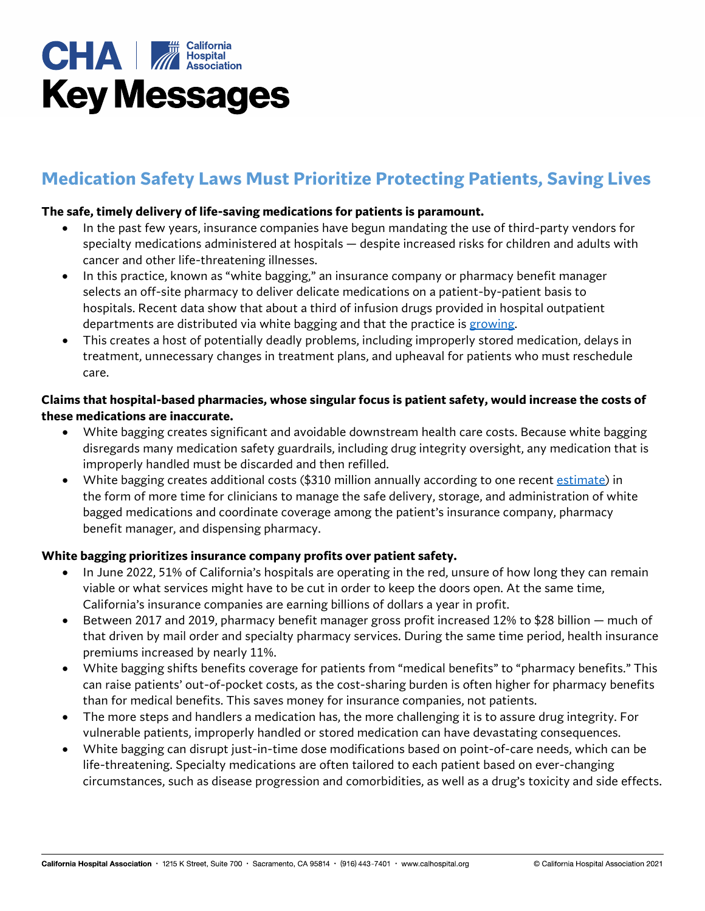

# **Medication Safety Laws Must Prioritize Protecting Patients, Saving Lives**

#### **The safe, timely delivery of life-saving medications for patients is paramount.**

- In the past few years, insurance companies have begun mandating the use of third-party vendors for specialty medications administered at hospitals — despite increased risks for children and adults with cancer and other life-threatening illnesses.
- In this practice, known as "white bagging," an insurance company or pharmacy benefit manager selects an off-site pharmacy to deliver delicate medications on a patient-by-patient basis to hospitals. Recent data show that about a third of infusion drugs provided in hospital outpatient departments are distributed via white bagging and that the practice is [growing.](https://www.drugchannels.net/2021/10/white-bagging-update-pbms-specialty.html)
- This creates a host of potentially deadly problems, including improperly stored medication, delays in treatment, unnecessary changes in treatment plans, and upheaval for patients who must reschedule care.

### **Claims that hospital-based pharmacies, whose singular focus is patient safety, would increase the costs of these medications are inaccurate.**

- White bagging creates significant and avoidable downstream health care costs. Because white bagging disregards many medication safety guardrails, including drug integrity oversight, any medication that is improperly handled must be discarded and then refilled.
- White bagging creates additional costs (\$310 million annually according to one recent [estimate\)](https://www.vizientinc.com/our-solutions/pharmacy-solutions/payer-policy) in the form of more time for clinicians to manage the safe delivery, storage, and administration of white bagged medications and coordinate coverage among the patient's insurance company, pharmacy benefit manager, and dispensing pharmacy.

#### **White bagging prioritizes insurance company profits over patient safety.**

- In June 2022, 51% of California's hospitals are operating in the red, unsure of how long they can remain viable or what services might have to be cut in order to keep the doors open. At the same time, California's insurance companies are earning billions of dollars a year in profit.
- Between 2017 and 2019, pharmacy benefit manager gross profit increased 12% to \$28 billion much of that driven by mail order and specialty pharmacy services. During the same time period, health insurance premiums increased by nearly 11%.
- White bagging shifts benefits coverage for patients from "medical benefits" to "pharmacy benefits." This can raise patients' out-of-pocket costs, as the cost-sharing burden is often higher for pharmacy benefits than for medical benefits. This saves money for insurance companies, not patients.
- The more steps and handlers a medication has, the more challenging it is to assure drug integrity. For vulnerable patients, improperly handled or stored medication can have devastating consequences.
- White bagging can disrupt just-in-time dose modifications based on point-of-care needs, which can be life-threatening. Specialty medications are often tailored to each patient based on ever-changing circumstances, such as disease progression and comorbidities, as well as a drug's toxicity and side effects.